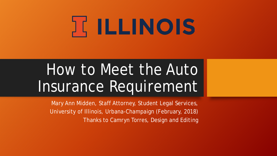# ELINOIS

## How to Meet the Auto Insurance Requirement

Mary Ann Midden, Staff Attorney, Student Legal Services, University of Illinois, Urbana-Champaign (February, 2018) Thanks to Camryn Torres, Design and Editing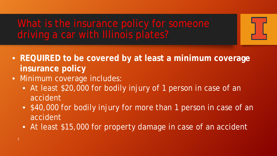#### What is the insurance policy for someone driving a car with Illinois plates?

- **REQUIRED to be covered by at least a minimum coverage insurance policy**
- Minimum coverage includes:
	- At least \$20,000 for bodily injury of 1 person in case of an accident
	- \$40,000 for bodily injury for more than 1 person in case of an accident
	- At least \$15,000 for property damage in case of an accident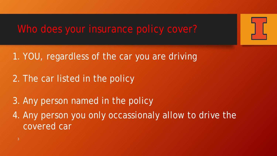#### Who does your insurance policy cover?

- 1. YOU, regardless of the car you are driving
- 2. The car listed in the policy
- 3. Any person named in the policy
- 4. Any person you only occassionaly allow to drive the covered car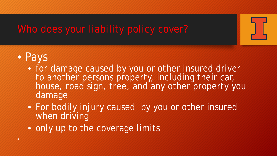### Who does your liability policy cover?

### • Pays

4

- for damage caused by you or other insured driver to another persons property, including their car, house, road sign, tree, and any other property you damage
- For bodily injury caused by you or other insured when driving
- only up to the coverage limits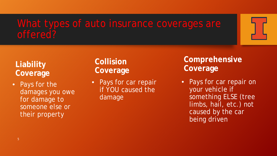#### What types of auto insurance coverages are offered?



#### **Liability Coverage**

• Pays for the damages you owe for damage to someone else or their property

#### **Collision Coverage**

• Pays for car repair if YOU caused the damage

#### **Comprehensive Coverage**

• Pays for car repair on your vehicle if something ELSE (tree limbs, hail, etc.) not caused by the car being driven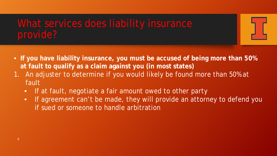#### What services does liability insurance provide?

- **If you have liability insurance, you must be accused of being more than 50% at fault to qualify as a claim against you (in most states)**
- 1. An adjuster to determine if you would likely be found more than 50% at fault
	- If at fault, negotiate a fair amount owed to other party
	- If agreement can't be made, they will provide an attorney to defend you if sued or someone to handle arbitration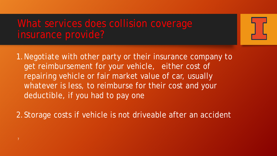#### What services does collision coverage insurance provide?

1.Negotiate with other party or their insurance company to get reimbursement for your vehicle, either cost of repairing vehicle or fair market value of car, usually whatever is less, to reimburse for their cost and your deductible, if you had to pay one

2.Storage costs if vehicle is not driveable after an accident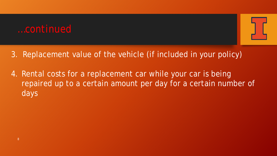#### *…continued*



- 3. Replacement value of the vehicle (if included in your policy)
- 4. Rental costs for a replacement car while your car is being repaired up to a certain amount per day for a certain number of days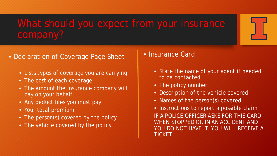#### What should you expect from your insurance company?



- Declaration of Coverage Page Sheet
	- Lists types of coverage you are carrying
	- The cost of each coverage
	- The amount the insurance company will pay on your behalf
	- Any deductibles you must pay
	- Your total premium
	- The person(s) covered by the policy
	- The vehicle covered by the policy
- Insurance Card
	- State the name of your agent if needed to be contacted
	- The policy number
	- Description of the vehicle covered
	- Names of the person(s) covered
	- Instructions to report a possible claim IF A POLICE OFFICER ASKS FOR THIS CARD WHEN STOPPED OR IN AN ACCIDENT AND YOU DO NOT HAVE IT, YOU WILL RECEIVE A TICKET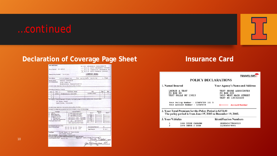#### *…continued*



#### **Declaration of Coverage Page Sheet <b>Insurance Card**

| <b>DECLARATIONS</b>                                                                                                                                                          | (Policy Number) 80-42910             |                                   | B.I.G. INSURANCE CONGLOMERATE<br>B.I.G. AUTO INSURANCE COMPANY<br>B.I.G. LIABILITY INSURANCE CO.<br><b>x</b> B.I.G. AUTO FINANCE COMPANY                                                           |  |                                                                                           |             |           |
|------------------------------------------------------------------------------------------------------------------------------------------------------------------------------|--------------------------------------|-----------------------------------|----------------------------------------------------------------------------------------------------------------------------------------------------------------------------------------------------|--|-------------------------------------------------------------------------------------------|-------------|-----------|
|                                                                                                                                                                              |                                      | (Previous Policy Number) 79-31241 |                                                                                                                                                                                                    |  | (COMPANY NAME)                                                                            |             |           |
| Policy Period:                                                                                                                                                               |                                      | 12-01 A.M. Standard Time          | From:                                                                                                                                                                                              |  | 08/21/98 To: 08/21/99                                                                     |             | 1 (Years) |
| Named Intured<br>and mailing address                                                                                                                                         |                                      | Daniel Lawrence<br>4029 Tree St.  | Middletown, Massachusetts<br>(Number, Street, Apartment, Town or City, County, State, Zip Code)                                                                                                    |  |                                                                                           |             |           |
|                                                                                                                                                                              | Description of Auto(s) or Trailer(s) |                                   |                                                                                                                                                                                                    |  |                                                                                           |             |           |
| Auto                                                                                                                                                                         | Year                                 |                                   | Trade Name - Model                                                                                                                                                                                 |  | VIN                                                                                       | Sym         | Age       |
| 1                                                                                                                                                                            | 1996                                 |                                   | Oldsmobile Cutlass                                                                                                                                                                                 |  | 1G3WH12M&T                                                                                | 7           | R         |
| $\overline{z}$                                                                                                                                                               |                                      |                                   | ×.                                                                                                                                                                                                 |  |                                                                                           |             |           |
| $\overline{\mathbf{3}}$                                                                                                                                                      |                                      |                                   |                                                                                                                                                                                                    |  |                                                                                           |             |           |
|                                                                                                                                                                              | Coverages                            |                                   | Coverage is provided where a premium and a limit of liability is shown for the coverage<br>Limit of Liability                                                                                      |  | Premium                                                                                   |             |           |
| Liability<br>A<br>Medical Payments<br>B.<br>C. Uninsured Motorists<br>D. Damage to your Auto<br>1. Callision Lass<br>2 Other Than Collision Loss<br>(Towing and Labor Costs) |                                      |                                   | \$100,000 each accident<br>\$1,000 each person<br>\$25,000 each accident<br>ACV minus \$ 100 Deductible<br>ACV minus \$ 100 Deductible<br>(\$25 each disablement)<br>(ACV means Actual Cash Value) |  | Auto 2<br>Auto 1<br>312<br>18<br>s<br>22<br>×<br>163<br>128<br>$\sim$<br>s<br><b>1. S</b> |             | Auto 3    |
|                                                                                                                                                                              | Endorsements made part of this       |                                   | PP 03 03 04 86 (T&L)                                                                                                                                                                               |  | <b>Endorsement Premium</b>                                                                | s           |           |
| Policy at time of issue:                                                                                                                                                     |                                      |                                   | PP 03 05 08 86 (LP)                                                                                                                                                                                |  | <b>Total Pramium</b>                                                                      |             | \$647     |
| Loss Payee:<br>(Name and address)                                                                                                                                            |                                      | 101 Wide Avenue                   | First Bank of Samlltown<br>Samlltown, Colorado                                                                                                                                                     |  |                                                                                           |             |           |
|                                                                                                                                                                              | (Countersignature Date)              | 08/21/98                          | (This policy shall not be valid unless countersigned by our authorized agent)                                                                                                                      |  | (Asmay at:) Samlltown, Colorado                                                           | hodes some) |           |

|                                                                                                                          |                                                                        | <b>TRAVELERS</b><br>POLICY DECLARATIONS                                           |  |  |  |  |  |  |
|--------------------------------------------------------------------------------------------------------------------------|------------------------------------------------------------------------|-----------------------------------------------------------------------------------|--|--|--|--|--|--|
| 1. Named Insured                                                                                                         |                                                                        | Your Agency's Name and Address                                                    |  |  |  |  |  |  |
|                                                                                                                          | LAURIE A TEST<br>PO BOX 88<br>TEST FALLS NY 13613                      | TEST SHORE ASSOCIATES<br>PO BOX 220<br>5415 WEST MAIN STREET<br>TEST NY 130310220 |  |  |  |  |  |  |
|                                                                                                                          | Your Policy Number : 123456789 101 3<br>Your Account Number : 12345678 | <b>Account Number</b>                                                             |  |  |  |  |  |  |
| 2. Your Total Premium for the Policy Period is \$373,00<br>The policy period is from June 19, 2002 to December 19, 2002. |                                                                        |                                                                                   |  |  |  |  |  |  |
| 3. Your Vehicles                                                                                                         |                                                                        | <b>Identification Numbers</b>                                                     |  |  |  |  |  |  |
| ı<br>$\overline{2}$                                                                                                      | 1996 DODGE CARAVAN<br>1978 CHEVR 2 DOOR                                | 2B3FD4567TR890123<br>1123045678901                                                |  |  |  |  |  |  |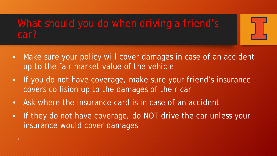#### What should you do when driving a friend's car?

- Make sure your policy will cover damages in case of an accident up to the fair market value of the vehicle
- If you do not have coverage, make sure your friend's insurance covers collision up to the damages of their car
- Ask where the insurance card is in case of an accident
- If they do not have coverage, do NOT drive the car unless your insurance would cover damages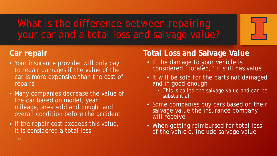#### What is the difference between repairing your car and a total loss and salvage value?

- Your insurance provider will only pay to repair damages if the value of the car is more expensive than the cost of repairs
- Many companies decrease the value of the car based on model, year, mileage, area sold and bought and overall condition before the accident
- If the repair cost exceeds this value, it is considered a total loss

#### **Car repair Total Loss and Salvage Value**

- If the damage to your vehicle is considered "totaled," it still has value
- It will be sold for the parts not damaged and in good enough
	- This is called the salvage value and can be substantial
- Some companies buy cars based on their salvage value the insurance company will receive
- When getting reimbursed for total loss of the vehicle, include salvage value